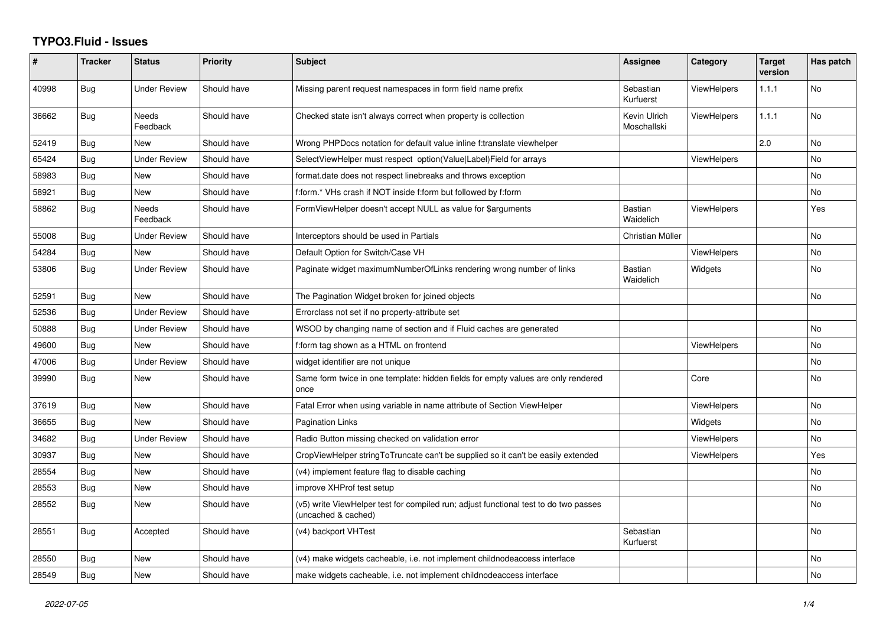## **TYPO3.Fluid - Issues**

| ∦     | <b>Tracker</b> | <b>Status</b>            | <b>Priority</b> | Subject                                                                                                     | <b>Assignee</b>             | Category           | <b>Target</b><br>version | Has patch |
|-------|----------------|--------------------------|-----------------|-------------------------------------------------------------------------------------------------------------|-----------------------------|--------------------|--------------------------|-----------|
| 40998 | <b>Bug</b>     | <b>Under Review</b>      | Should have     | Missing parent request namespaces in form field name prefix                                                 | Sebastian<br>Kurfuerst      | ViewHelpers        | 1.1.1                    | No        |
| 36662 | Bug            | Needs<br>Feedback        | Should have     | Checked state isn't always correct when property is collection                                              | Kevin Ulrich<br>Moschallski | <b>ViewHelpers</b> | 1.1.1                    | No        |
| 52419 | Bug            | <b>New</b>               | Should have     | Wrong PHPDocs notation for default value inline f:translate viewhelper                                      |                             |                    | 2.0                      | No        |
| 65424 | Bug            | <b>Under Review</b>      | Should have     | SelectViewHelper must respect option(Value Label)Field for arrays                                           |                             | <b>ViewHelpers</b> |                          | No        |
| 58983 | Bug            | <b>New</b>               | Should have     | format.date does not respect linebreaks and throws exception                                                |                             |                    |                          | No        |
| 58921 | <b>Bug</b>     | New                      | Should have     | f:form.* VHs crash if NOT inside f:form but followed by f:form                                              |                             |                    |                          | No        |
| 58862 | Bug            | <b>Needs</b><br>Feedback | Should have     | FormViewHelper doesn't accept NULL as value for \$arguments                                                 | <b>Bastian</b><br>Waidelich | <b>ViewHelpers</b> |                          | Yes       |
| 55008 | <b>Bug</b>     | <b>Under Review</b>      | Should have     | Interceptors should be used in Partials                                                                     | Christian Müller            |                    |                          | No.       |
| 54284 | <b>Bug</b>     | New                      | Should have     | Default Option for Switch/Case VH                                                                           |                             | <b>ViewHelpers</b> |                          | No        |
| 53806 | Bug            | Under Review             | Should have     | Paginate widget maximumNumberOfLinks rendering wrong number of links                                        | <b>Bastian</b><br>Waidelich | Widgets            |                          | No        |
| 52591 | Bug            | New                      | Should have     | The Pagination Widget broken for joined objects                                                             |                             |                    |                          | No        |
| 52536 | Bug            | <b>Under Review</b>      | Should have     | Errorclass not set if no property-attribute set                                                             |                             |                    |                          |           |
| 50888 | Bug            | <b>Under Review</b>      | Should have     | WSOD by changing name of section and if Fluid caches are generated                                          |                             |                    |                          | No        |
| 49600 | <b>Bug</b>     | <b>New</b>               | Should have     | f:form tag shown as a HTML on frontend                                                                      |                             | <b>ViewHelpers</b> |                          | No        |
| 47006 | <b>Bug</b>     | <b>Under Review</b>      | Should have     | widget identifier are not unique                                                                            |                             |                    |                          | No        |
| 39990 | Bug            | <b>New</b>               | Should have     | Same form twice in one template: hidden fields for empty values are only rendered<br>once                   |                             | Core               |                          | <b>No</b> |
| 37619 | Bug            | <b>New</b>               | Should have     | Fatal Error when using variable in name attribute of Section ViewHelper                                     |                             | <b>ViewHelpers</b> |                          | <b>No</b> |
| 36655 | Bug            | New                      | Should have     | Pagination Links                                                                                            |                             | Widgets            |                          | No        |
| 34682 | Bug            | <b>Under Review</b>      | Should have     | Radio Button missing checked on validation error                                                            |                             | <b>ViewHelpers</b> |                          | No        |
| 30937 | <b>Bug</b>     | <b>New</b>               | Should have     | CropViewHelper stringToTruncate can't be supplied so it can't be easily extended                            |                             | ViewHelpers        |                          | Yes       |
| 28554 | Bug            | New                      | Should have     | (v4) implement feature flag to disable caching                                                              |                             |                    |                          | No        |
| 28553 | Bug            | New                      | Should have     | improve XHProf test setup                                                                                   |                             |                    |                          | No        |
| 28552 | <b>Bug</b>     | New                      | Should have     | (v5) write ViewHelper test for compiled run; adjust functional test to do two passes<br>(uncached & cached) |                             |                    |                          | No.       |
| 28551 | <b>Bug</b>     | Accepted                 | Should have     | (v4) backport VHTest                                                                                        | Sebastian<br>Kurfuerst      |                    |                          | No        |
| 28550 | Bug            | New                      | Should have     | (v4) make widgets cacheable, i.e. not implement childnodeaccess interface                                   |                             |                    |                          | No        |
| 28549 | Bug            | New                      | Should have     | make widgets cacheable, i.e. not implement childnodeaccess interface                                        |                             |                    |                          | No        |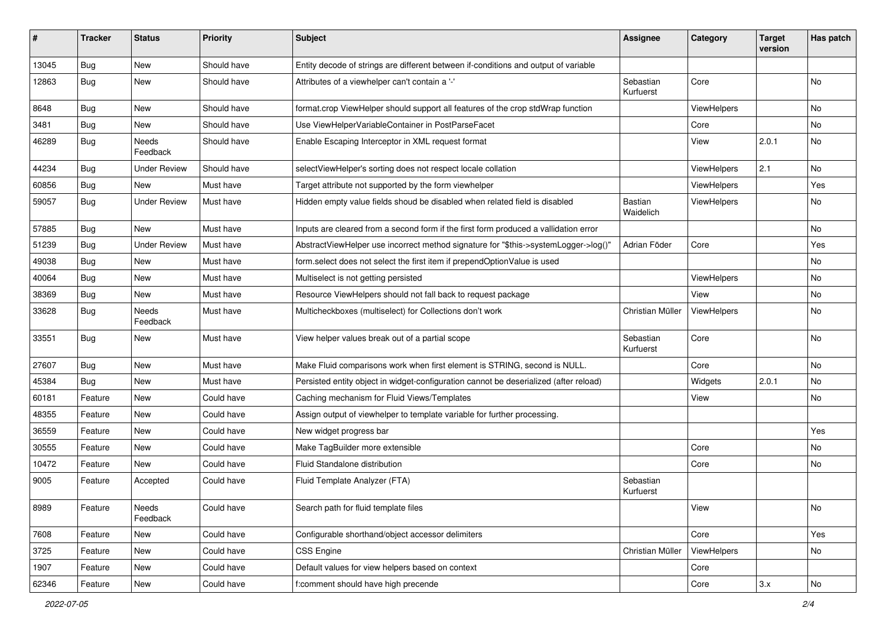| #     | <b>Tracker</b> | <b>Status</b>       | <b>Priority</b> | Subject                                                                               | <b>Assignee</b>             | Category    | <b>Target</b><br>version | Has patch |
|-------|----------------|---------------------|-----------------|---------------------------------------------------------------------------------------|-----------------------------|-------------|--------------------------|-----------|
| 13045 | Bug            | New                 | Should have     | Entity decode of strings are different between if-conditions and output of variable   |                             |             |                          |           |
| 12863 | Bug            | New                 | Should have     | Attributes of a viewhelper can't contain a '-'                                        | Sebastian<br>Kurfuerst      | Core        |                          | No        |
| 8648  | Bug            | New                 | Should have     | format.crop ViewHelper should support all features of the crop stdWrap function       |                             | ViewHelpers |                          | No        |
| 3481  | Bug            | New                 | Should have     | Use ViewHelperVariableContainer in PostParseFacet                                     |                             | Core        |                          | No        |
| 46289 | Bug            | Needs<br>Feedback   | Should have     | Enable Escaping Interceptor in XML request format                                     |                             | View        | 2.0.1                    | No        |
| 44234 | Bug            | Under Review        | Should have     | selectViewHelper's sorting does not respect locale collation                          |                             | ViewHelpers | 2.1                      | No        |
| 60856 | Bug            | New                 | Must have       | Target attribute not supported by the form viewhelper                                 |                             | ViewHelpers |                          | Yes       |
| 59057 | Bug            | <b>Under Review</b> | Must have       | Hidden empty value fields shoud be disabled when related field is disabled            | <b>Bastian</b><br>Waidelich | ViewHelpers |                          | No        |
| 57885 | Bug            | New                 | Must have       | Inputs are cleared from a second form if the first form produced a vallidation error  |                             |             |                          | <b>No</b> |
| 51239 | Bug            | <b>Under Review</b> | Must have       | AbstractViewHelper use incorrect method signature for "\$this->systemLogger->log()"   | Adrian Föder                | Core        |                          | Yes       |
| 49038 | Bug            | New                 | Must have       | form.select does not select the first item if prependOptionValue is used              |                             |             |                          | No        |
| 40064 | Bug            | New                 | Must have       | Multiselect is not getting persisted                                                  |                             | ViewHelpers |                          | No        |
| 38369 | Bug            | New                 | Must have       | Resource ViewHelpers should not fall back to request package                          |                             | View        |                          | No        |
| 33628 | Bug            | Needs<br>Feedback   | Must have       | Multicheckboxes (multiselect) for Collections don't work                              | Christian Müller            | ViewHelpers |                          | No        |
| 33551 | Bug            | New                 | Must have       | View helper values break out of a partial scope                                       | Sebastian<br>Kurfuerst      | Core        |                          | No        |
| 27607 | Bug            | New                 | Must have       | Make Fluid comparisons work when first element is STRING, second is NULL.             |                             | Core        |                          | No        |
| 45384 | Bug            | New                 | Must have       | Persisted entity object in widget-configuration cannot be deserialized (after reload) |                             | Widgets     | 2.0.1                    | <b>No</b> |
| 60181 | Feature        | New                 | Could have      | Caching mechanism for Fluid Views/Templates                                           |                             | View        |                          | No        |
| 48355 | Feature        | New                 | Could have      | Assign output of viewhelper to template variable for further processing.              |                             |             |                          |           |
| 36559 | Feature        | New                 | Could have      | New widget progress bar                                                               |                             |             |                          | Yes       |
| 30555 | Feature        | New                 | Could have      | Make TagBuilder more extensible                                                       |                             | Core        |                          | No        |
| 10472 | Feature        | New                 | Could have      | <b>Fluid Standalone distribution</b>                                                  |                             | Core        |                          | No        |
| 9005  | Feature        | Accepted            | Could have      | Fluid Template Analyzer (FTA)                                                         | Sebastian<br>Kurfuerst      |             |                          |           |
| 8989  | Feature        | Needs<br>Feedback   | Could have      | Search path for fluid template files                                                  |                             | View        |                          | No        |
| 7608  | Feature        | New                 | Could have      | Configurable shorthand/object accessor delimiters                                     |                             | Core        |                          | Yes       |
| 3725  | Feature        | New                 | Could have      | <b>CSS Engine</b>                                                                     | Christian Müller            | ViewHelpers |                          | No        |
| 1907  | Feature        | New                 | Could have      | Default values for view helpers based on context                                      |                             | Core        |                          |           |
| 62346 | Feature        | New                 | Could have      | f:comment should have high precende                                                   |                             | Core        | 3.x                      | No        |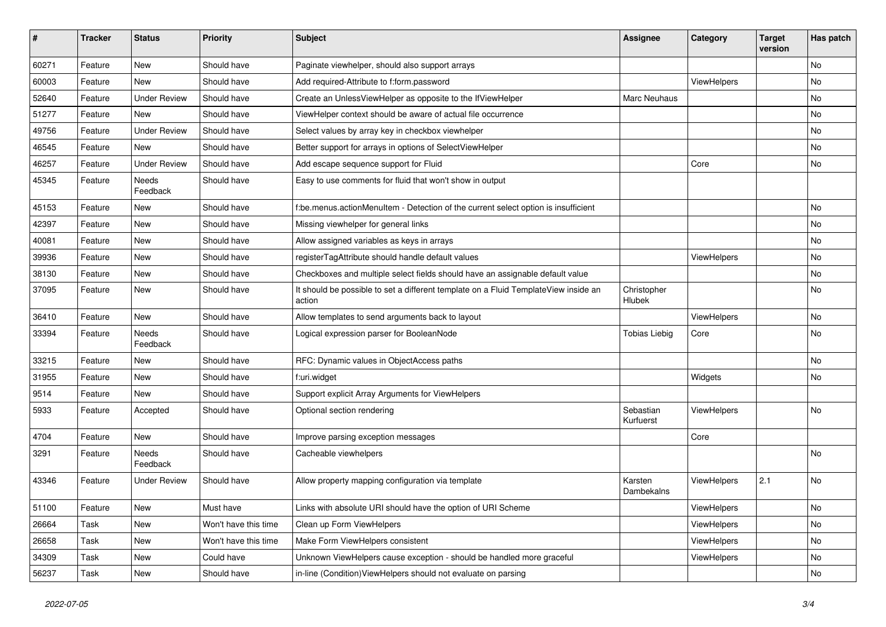| #     | <b>Tracker</b> | <b>Status</b>       | <b>Priority</b>      | Subject                                                                                       | <b>Assignee</b>              | Category    | <b>Target</b><br>version | Has patch |
|-------|----------------|---------------------|----------------------|-----------------------------------------------------------------------------------------------|------------------------------|-------------|--------------------------|-----------|
| 60271 | Feature        | <b>New</b>          | Should have          | Paginate viewhelper, should also support arrays                                               |                              |             |                          | No        |
| 60003 | Feature        | New                 | Should have          | Add required-Attribute to f:form.password                                                     |                              | ViewHelpers |                          | No        |
| 52640 | Feature        | <b>Under Review</b> | Should have          | Create an UnlessViewHelper as opposite to the IfViewHelper                                    | Marc Neuhaus                 |             |                          | No        |
| 51277 | Feature        | <b>New</b>          | Should have          | ViewHelper context should be aware of actual file occurrence                                  |                              |             |                          | No        |
| 49756 | Feature        | <b>Under Review</b> | Should have          | Select values by array key in checkbox viewhelper                                             |                              |             |                          | No        |
| 46545 | Feature        | <b>New</b>          | Should have          | Better support for arrays in options of SelectViewHelper                                      |                              |             |                          | No        |
| 46257 | Feature        | <b>Under Review</b> | Should have          | Add escape sequence support for Fluid                                                         |                              | Core        |                          | No        |
| 45345 | Feature        | Needs<br>Feedback   | Should have          | Easy to use comments for fluid that won't show in output                                      |                              |             |                          |           |
| 45153 | Feature        | New                 | Should have          | f:be.menus.actionMenuItem - Detection of the current select option is insufficient            |                              |             |                          | No.       |
| 42397 | Feature        | New                 | Should have          | Missing viewhelper for general links                                                          |                              |             |                          | No        |
| 40081 | Feature        | New                 | Should have          | Allow assigned variables as keys in arrays                                                    |                              |             |                          | No        |
| 39936 | Feature        | New                 | Should have          | registerTagAttribute should handle default values                                             |                              | ViewHelpers |                          | No        |
| 38130 | Feature        | <b>New</b>          | Should have          | Checkboxes and multiple select fields should have an assignable default value                 |                              |             |                          | No        |
| 37095 | Feature        | New                 | Should have          | It should be possible to set a different template on a Fluid TemplateView inside an<br>action | Christopher<br><b>Hlubek</b> |             |                          | No        |
| 36410 | Feature        | <b>New</b>          | Should have          | Allow templates to send arguments back to layout                                              |                              | ViewHelpers |                          | No        |
| 33394 | Feature        | Needs<br>Feedback   | Should have          | Logical expression parser for BooleanNode                                                     | <b>Tobias Liebig</b>         | Core        |                          | No        |
| 33215 | Feature        | New                 | Should have          | RFC: Dynamic values in ObjectAccess paths                                                     |                              |             |                          | No        |
| 31955 | Feature        | New                 | Should have          | f:uri.widget                                                                                  |                              | Widgets     |                          | No        |
| 9514  | Feature        | New                 | Should have          | Support explicit Array Arguments for ViewHelpers                                              |                              |             |                          |           |
| 5933  | Feature        | Accepted            | Should have          | Optional section rendering                                                                    | Sebastian<br>Kurfuerst       | ViewHelpers |                          | No        |
| 4704  | Feature        | New                 | Should have          | Improve parsing exception messages                                                            |                              | Core        |                          |           |
| 3291  | Feature        | Needs<br>Feedback   | Should have          | Cacheable viewhelpers                                                                         |                              |             |                          | No        |
| 43346 | Feature        | <b>Under Review</b> | Should have          | Allow property mapping configuration via template                                             | Karsten<br>Dambekalns        | ViewHelpers | 2.1                      | No        |
| 51100 | Feature        | New                 | Must have            | Links with absolute URI should have the option of URI Scheme                                  |                              | ViewHelpers |                          | No        |
| 26664 | Task           | New                 | Won't have this time | Clean up Form ViewHelpers                                                                     |                              | ViewHelpers |                          | No        |
| 26658 | Task           | New                 | Won't have this time | Make Form ViewHelpers consistent                                                              |                              | ViewHelpers |                          | No        |
| 34309 | Task           | New                 | Could have           | Unknown ViewHelpers cause exception - should be handled more graceful                         |                              | ViewHelpers |                          | No        |
| 56237 | Task           | New                 | Should have          | in-line (Condition) ViewHelpers should not evaluate on parsing                                |                              |             |                          | No        |